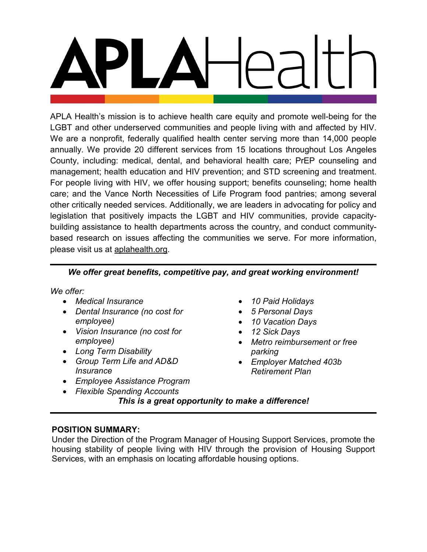APLA Health's mission is to achieve health care equity and promote well-being for the LGBT and other underserved communities and people living with and affected by HIV. We are a nonprofit, federally qualified health center serving more than 14,000 people annually. We provide 20 different services from 15 locations throughout Los Angeles County, including: medical, dental, and behavioral health care; PrEP counseling and management; health education and HIV prevention; and STD screening and treatment. For people living with HIV, we offer housing support; benefits counseling; home health care; and the Vance North Necessities of Life Program food pantries; among several other critically needed services. Additionally, we are leaders in advocating for policy and legislation that positively impacts the LGBT and HIV communities, provide capacitybuilding assistance to health departments across the country, and conduct communitybased research on issues affecting the communities we serve. For more information, please visit us at [aplahealth.org.](http://www.aplahealth.org/)

# *We offer great benefits, competitive pay, and great working environment!*

*We offer:*

- *Medical Insurance*
- *Dental Insurance (no cost for employee)*
- *Vision Insurance (no cost for employee)*
- *Long Term Disability*
- *Group Term Life and AD&D Insurance*
- *Employee Assistance Program*
- *Flexible Spending Accounts*
- *10 Paid Holidays*
- *5 Personal Days*
- *10 Vacation Days*
- *12 Sick Days*
- *Metro reimbursement or free parking*
- *Employer Matched 403b Retirement Plan*

*This is a great opportunity to make a difference!*

## **POSITION SUMMARY:**

Under the Direction of the Program Manager of Housing Support Services, promote the housing stability of people living with HIV through the provision of Housing Support Services, with an emphasis on locating affordable housing options.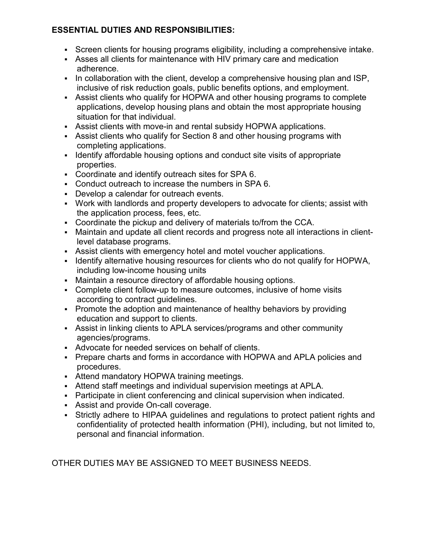# **ESSENTIAL DUTIES AND RESPONSIBILITIES:**

- Screen clients for housing programs eligibility, including a comprehensive intake.
- Asses all clients for maintenance with HIV primary care and medication adherence.
- In collaboration with the client, develop a comprehensive housing plan and ISP, inclusive of risk reduction goals, public benefits options, and employment.
- Assist clients who qualify for HOPWA and other housing programs to complete applications, develop housing plans and obtain the most appropriate housing situation for that individual.
- Assist clients with move-in and rental subsidy HOPWA applications.
- Assist clients who qualify for Section 8 and other housing programs with completing applications.
- I dentify affordable housing options and conduct site visits of appropriate properties.
- Coordinate and identify outreach sites for SPA 6.
- Conduct outreach to increase the numbers in SPA 6.
- Develop a calendar for outreach events.
- Work with landlords and property developers to advocate for clients; assist with the application process, fees, etc.
- Coordinate the pickup and delivery of materials to/from the CCA.
- Maintain and update all client records and progress note all interactions in clientlevel database programs.
- Assist clients with emergency hotel and motel voucher applications.
- Identify alternative housing resources for clients who do not qualify for HOPWA, including low-income housing units
- Maintain a resource directory of affordable housing options.
- Complete client follow-up to measure outcomes, inclusive of home visits according to contract guidelines.
- Promote the adoption and maintenance of healthy behaviors by providing education and support to clients.
- Assist in linking clients to APLA services/programs and other community agencies/programs.
- Advocate for needed services on behalf of clients.
- Prepare charts and forms in accordance with HOPWA and APLA policies and procedures.
- Attend mandatory HOPWA training meetings.
- Attend staff meetings and individual supervision meetings at APLA.
- Participate in client conferencing and clinical supervision when indicated.
- Assist and provide On-call coverage.
- Strictly adhere to HIPAA guidelines and regulations to protect patient rights and confidentiality of protected health information (PHI), including, but not limited to, personal and financial information.

OTHER DUTIES MAY BE ASSIGNED TO MEET BUSINESS NEEDS.